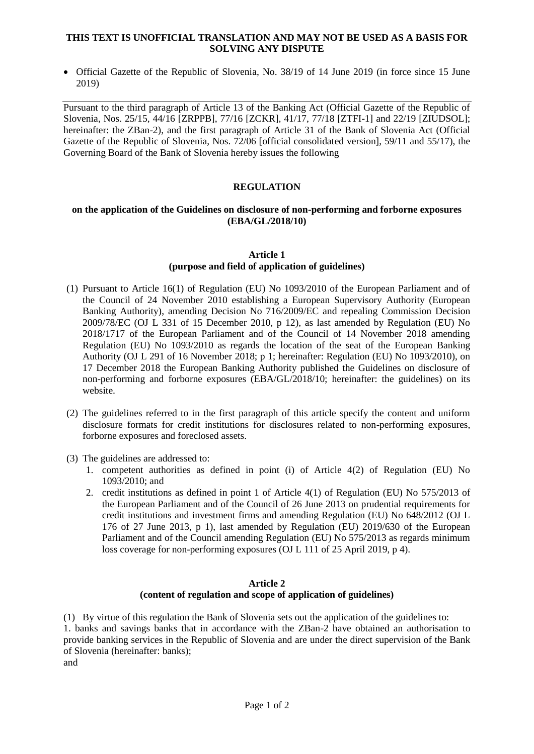#### **THIS TEXT IS UNOFFICIAL TRANSLATION AND MAY NOT BE USED AS A BASIS FOR SOLVING ANY DISPUTE**

• Official Gazette of the Republic of Slovenia, No. 38/19 of 14 June 2019 (in force since 15 June 2019)

Pursuant to the third paragraph of Article 13 of the Banking Act (Official Gazette of the Republic of Slovenia, Nos. 25/15, 44/16 [ZRPPB], 77/16 [ZCKR], 41/17, 77/18 [ZTFI-1] and 22/19 [ZIUDSOL]; hereinafter: the ZBan-2), and the first paragraph of Article 31 of the Bank of Slovenia Act (Official Gazette of the Republic of Slovenia, Nos. 72/06 [official consolidated version], 59/11 and 55/17), the Governing Board of the Bank of Slovenia hereby issues the following

## **REGULATION**

#### **on the application of the Guidelines on disclosure of non-performing and forborne exposures (EBA/GL/2018/10)**

#### **Article 1**

# **(purpose and field of application of guidelines)**

- (1) Pursuant to Article 16(1) of Regulation (EU) No 1093/2010 of the European Parliament and of the Council of 24 November 2010 establishing a European Supervisory Authority (European Banking Authority), amending Decision No 716/2009/EC and repealing Commission Decision 2009/78/EC (OJ L 331 of 15 December 2010, p 12), as last amended by Regulation (EU) No 2018/1717 of the European Parliament and of the Council of 14 November 2018 amending Regulation (EU) No 1093/2010 as regards the location of the seat of the European Banking Authority (OJ L 291 of 16 November 2018; p 1; hereinafter: Regulation (EU) No 1093/2010), on 17 December 2018 the European Banking Authority published the Guidelines on disclosure of non-performing and forborne exposures (EBA/GL/2018/10; hereinafter: the guidelines) on its website.
- (2) The guidelines referred to in the first paragraph of this article specify the content and uniform disclosure formats for credit institutions for disclosures related to non-performing exposures, forborne exposures and foreclosed assets.
- (3) The guidelines are addressed to:
	- 1. competent authorities as defined in point (i) of Article 4(2) of Regulation (EU) No 1093/2010; and
	- 2. credit institutions as defined in point 1 of Article 4(1) of Regulation (EU) No 575/2013 of the European Parliament and of the Council of 26 June 2013 on prudential requirements for credit institutions and investment firms and amending Regulation (EU) No 648/2012 (OJ L 176 of 27 June 2013, p 1), last amended by Regulation (EU) 2019/630 of the European Parliament and of the Council amending Regulation (EU) No 575/2013 as regards minimum loss coverage for non-performing exposures (OJ L 111 of 25 April 2019, p 4).

### **Article 2 (content of regulation and scope of application of guidelines)**

(1) By virtue of this regulation the Bank of Slovenia sets out the application of the guidelines to: 1. banks and savings banks that in accordance with the ZBan-2 have obtained an authorisation to provide banking services in the Republic of Slovenia and are under the direct supervision of the Bank of Slovenia (hereinafter: banks); and

Page 1 of 2